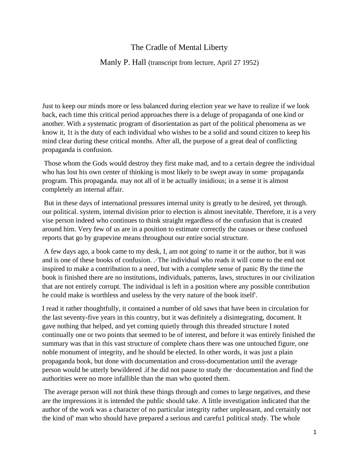## The Cradle of Mental Liberty

## Manly P. Hall (transcript from lecture, April 27 1952)

Just to keep our minds more or less balanced during election year we have to realize if we look back, each time this critical period approaches there is a deluge of propaganda of one kind or another. With a systematic program of disorientation as part of the political phenomena as we know it, 1t is the duty of each individual who wishes to be a solid and sound citizen to keep his mind clear during these critical months. After all, the purpose of a great deal of conflicting propaganda is confusion.

Those whom the Gods would destroy they first make mad, and to a certain degree the individual who has lost his own center of thinking is most likely to be swept away in some· propaganda program. This propaganda. may not all of it be actually insidious; in a sense it is almost completely an internal affair.

But in these days of international pressures internal unity is greatly to be desired, yet through. our political. system, internal division prior to election is almost inevitable. Therefore, it is a very vise person indeed who continues to think straight regardless of the confusion that is created around him. Very few of us are in a position to estimate correctly the causes or these confused reports that go by grapevine means throughout our entire social structure.

A few days ago, a book came to my desk, I, am not going' to name it or the author, but it was and is one of these books of confusion. .·The individual who reads it will come to the end not inspired to make a contribution to a need, but with a complete sense of panic By the time the book is finished there are no institutions, individuals, patterns, laws, structures in our civilization that are not entirely corrupt. The individual is left in a position where any possible contribution he could make is worthless and useless by the very nature of the book itself'.

I read it rather thoughtfully, it contained a number of old saws that have been in circulation for the last seventy-five years in this country, but it was definitely a disintegrating, document. It gave nothing that helped, and yet coming quietly through this threaded structure I noted continually one or two points that seemed to be of interest, and before it was entirely finished the summary was that in this vast structure of complete chaos there was one untouched figure, one noble monument of integrity, and he should be elected. In other words, it was just a plain propaganda book, but done with documentation and cross-documentation until the average person would be utterly bewildered .if he did not pause to study the ·documentation and find the authorities were no more infallible than the man who quoted them.

The average person will not think these things through and comes to large negatives, and these are the impressions it is intended the public should take. A little investigation indicated that the author of the work was a character of no particular integrity rather unpleasant, and certainly not the kind of' man who should have prepared a serious and carefu1 political study. The whole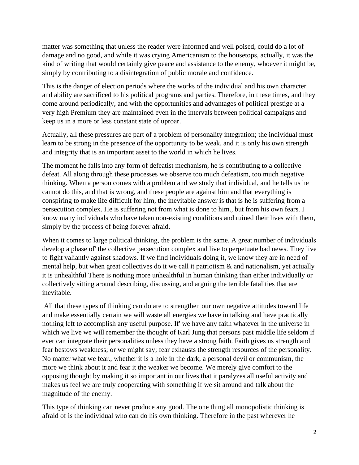matter was something that unless the reader were informed and well poised, could do a lot of damage and no good, and while it was crying Americanism to the housetops, actually, it was the kind of writing that would certainly give peace and assistance to the enemy, whoever it might be, simply by contributing to a disintegration of public morale and confidence.

This is the danger of election periods where the works of the individual and his own character and ability are sacrificed to his political programs and parties. Therefore, in these times, and they come around periodically, and with the opportunities and advantages of political prestige at a very high Premium they are maintained even in the intervals between political campaigns and keep us in a more or less constant state of uproar.

Actually, all these pressures are part of a problem of personality integration; the individual must learn to be strong in the presence of the opportunity to be weak, and it is only his own strength and integrity that is an important asset to the world in which he lives.

The moment he falls into any form of defeatist mechanism, he is contributing to a collective defeat. All along through these processes we observe too much defeatism, too much negative thinking. When a person comes with a problem and we study that individual, and he tells us he cannot do this, and that is wrong, and these people are against him and that everything is conspiring to make life difficult for him, the inevitable answer is that is he is suffering from a persecution complex. He is suffering not from what is done to him., but from his own fears. I know many individuals who have taken non-existing conditions and ruined their lives with them, simply by the process of being forever afraid.

When it comes to large political thinking, the problem is the same. A great number of individuals develop a phase of' the collective persecution complex and live to perpetuate bad news. They live to fight valiantly against shadows. If we find individuals doing it, we know they are in need of mental help, but when great collectives do it we call it patriotism  $\&$  and nationalism, yet actually it is unhealthful There is nothing more unhealthful in human thinking than either individually or collectively sitting around describing, discussing, and arguing the terrible fatalities that are inevitable.

All that these types of thinking can do are to strengthen our own negative attitudes toward life and make essentially certain we will waste all energies we have in talking and have practically nothing left to accomplish any useful purpose. If' we have any faith whatever in the universe in which we live we will remember the thought of Karl Jung that persons past middle life seldom if ever can integrate their personalities unless they have a strong faith. Faith gives us strength and fear bestows weakness; or we might say; fear exhausts the strength resources of the personality. No matter what we fear., whether it is a hole in the dark, a personal devil or communism, the more we think about it and fear it the weaker we become. We merely give comfort to the opposing thought by making it so important in our lives that it paralyzes all useful activity and makes us feel we are truly cooperating with something if we sit around and talk about the magnitude of the enemy.

This type of thinking can never produce any good. The one thing all monopolistic thinking is afraid of is the individual who can do his own thinking. Therefore in the past wherever he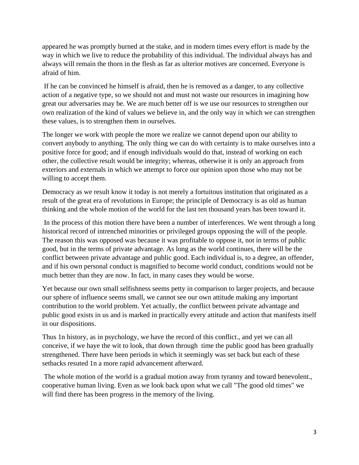appeared he was promptly burned at the stake, and in modern times every effort is made by the way in which we live to reduce the probability of this individual. The individual always has and always will remain the thorn in the flesh as far as ulterior motives are concerned. Everyone is afraid of him.

If he can be convinced he himself is afraid, then he is removed as a danger, to any collective action of a negative type, so we should not and must not waste our resources in imagining how great our adversaries may be. We are much better off is we use our resources to strengthen our own realization of the kind of values we believe in, and the only way in which we can strengthen these values, is to strengthen them in ourselves.

The longer we work with people the more we realize we cannot depend upon our ability to convert anybody to anything. The only thing we can do with certainty is to make ourselves into a positive force for good; and if enough individuals would do that, instead of working on each other, the collective result would be integrity; whereas, otherwise it is only an approach from exteriors and externals in which we attempt to force our opinion upon those who may not be willing to accept them.

Democracy as we result know it today is not merely a fortuitous institution that originated as a result of the great era of revolutions in Europe; the principle of Democracy is as old as human thinking and the whole motion of the world for the last ten thousand years has been toward it.

In the process of this motion there have been a number of interferences. We went through a long historical record of intrenched minorities or privileged groups opposing the will of the people. The reason this was opposed was because it was profitable to oppose it, not in terms of public good, but in the terms of private advantage. As long as the world continues, there will be the conflict between private advantage and public good. Each individual is, to a degree, an offender, and if his own personal conduct is magnified to become world conduct, conditions would not be much better than they are now. In fact, in many cases they would be worse.

Yet because our own small selfishness seems petty in comparison to larger projects, and because our sphere of influence seems small, we cannot see our own attitude making any important contribution to the world problem. Yet actually, the conflict between private advantage and public good exists in us and is marked in practically every attitude and action that manifests itself in our dispositions.

Thus 1n history, as in psychology, we have the record of this conflict., and yet we can all conceive, if we haye the wit to look, that down through time the public good has been gradually strengthened. There have been periods in which it seemingly was set back but each of these setbacks resuted 1n a more rapid advancement afterward.

The whole motion of the world is a gradual motion away from tyranny and toward benevolent., cooperative human living. Even as we look back upon what we call "The good old times" we will find there has been progress in the memory of the living.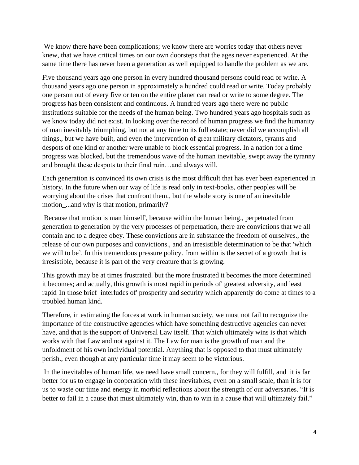We know there have been complications; we know there are worries today that others never knew, that we have critical times on our own doorsteps that the ages never experienced. At the same time there has never been a generation as well equipped to handle the problem as we are.

Five thousand years ago one person in every hundred thousand persons could read or write. A thousand years ago one person in approximately a hundred could read or write. Today probably one person out of every five or ten on the entire planet can read or write to some degree. The progress has been consistent and continuous. A hundred years ago there were no public institutions suitable for the needs of the human being. Two hundred years ago hospitals such as we know today did not exist. In looking over the record of human progress we find the humanity of man inevitably triumphing, but not at any time to its full estate; never did we accomplish all things., but we have built, and even the intervention of great military dictators, tyrants and despots of one kind or another were unable to block essential progress. In a nation for a time progress was blocked, but the tremendous wave of the human inevitable, swept away the tyranny and brought these despots to their final ruin…and always will.

Each generation is convinced its own crisis is the most difficult that has ever been experienced in history. In the future when our way of life is read only in text-books, other peoples will be worrying about the crises that confront them., but the whole story is one of an inevitable motion ...and why is that motion, primarily?

Because that motion is man himself', because within the human being., perpetuated from generation to generation by the very processes of perpetuation, there are convictions that we all contain and to a degree obey. These convictions are in substance the freedom of ourselves., the release of our own purposes and convictions., and an irresistible determination to be that 'which we will to be'. In this tremendous pressure policy. from within is the secret of a growth that is irresistible, because it is part of the very creature that is growing.

This growth may be at times frustrated. but the more frustrated it becomes the more determined it becomes; and actually, this growth is most rapid in periods of' greatest adversity, and least rapid 1n those brief interludes of' prosperity and security which apparently do come at times to a troubled human kind.

Therefore, in estimating the forces at work in human society, we must not fail to recognize the importance of the constructive agencies which have something destructive agencies can never have, and that is the support of Universal Law itself. That which ultimately wins is that which works with that Law and not against it. The Law for man is the growth of man and the unfoldment of his own individual potential. Anything that is opposed to that must ultimately perish., even though at any particular time it may seem to be victorious.

In the inevitables of human life, we need have small concern., for they will fulfill, and it is far better for us to engage in cooperation with these inevitables, even on a small scale, than it is for us to waste our time and energy in morbid reflections about the strength of our adversaries. "It is better to fail in a cause that must ultimately win, than to win in a cause that will ultimately fail."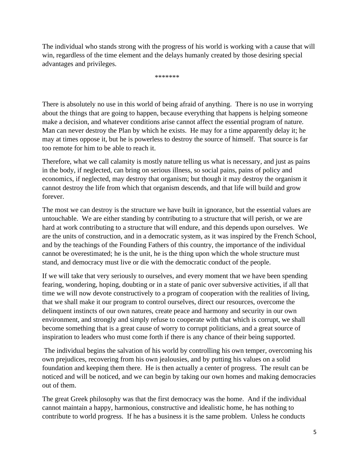The individual who stands strong with the progress of his world is working with a cause that will win, regardless of the time element and the delays humanly created by those desiring special advantages and privileges.

\*\*\*\*\*\*\*

There is absolutely no use in this world of being afraid of anything. There is no use in worrying about the things that are going to happen, because everything that happens is helping someone make a decision, and whatever conditions arise cannot affect the essential program of nature. Man can never destroy the Plan by which he exists. He may for a time apparently delay it; he may at times oppose it, but he is powerless to destroy the source of himself. That source is far too remote for him to be able to reach it.

Therefore, what we call calamity is mostly nature telling us what is necessary, and just as pains in the body, if neglected, can bring on serious illness, so social pains, pains of policy and economics, if neglected, may destroy that organism; but though it may destroy the organism it cannot destroy the life from which that organism descends, and that life will build and grow forever.

The most we can destroy is the structure we have built in ignorance, but the essential values are untouchable. We are either standing by contributing to a structure that will perish, or we are hard at work contributing to a structure that will endure, and this depends upon ourselves. We are the units of construction, and in a democratic system, as it was inspired by the French School, and by the teachings of the Founding Fathers of this country, the importance of the individual cannot be overestimated; he is the unit, he is the thing upon which the whole structure must stand, and democracy must live or die with the democratic conduct of the people.

If we will take that very seriously to ourselves, and every moment that we have been spending fearing, wondering, hoping, doubting or in a state of panic over subversive activities, if all that time we will now devote constructively to a program of cooperation with the realities of living, that we shall make it our program to control ourselves, direct our resources, overcome the delinquent instincts of our own natures, create peace and harmony and security in our own environment, and strongly and simply refuse to cooperate with that which is corrupt, we shall become something that is a great cause of worry to corrupt politicians, and a great source of inspiration to leaders who must come forth if there is any chance of their being supported.

The individual begins the salvation of his world by controlling his own temper, overcoming his own prejudices, recovering from his own jealousies, and by putting his values on a solid foundation and keeping them there. He is then actually a center of progress. The result can be noticed and will be noticed, and we can begin by taking our own homes and making democracies out of them.

The great Greek philosophy was that the first democracy was the home. And if the individual cannot maintain a happy, harmonious, constructive and idealistic home, he has nothing to contribute to world progress. If he has a business it is the same problem. Unless he conducts